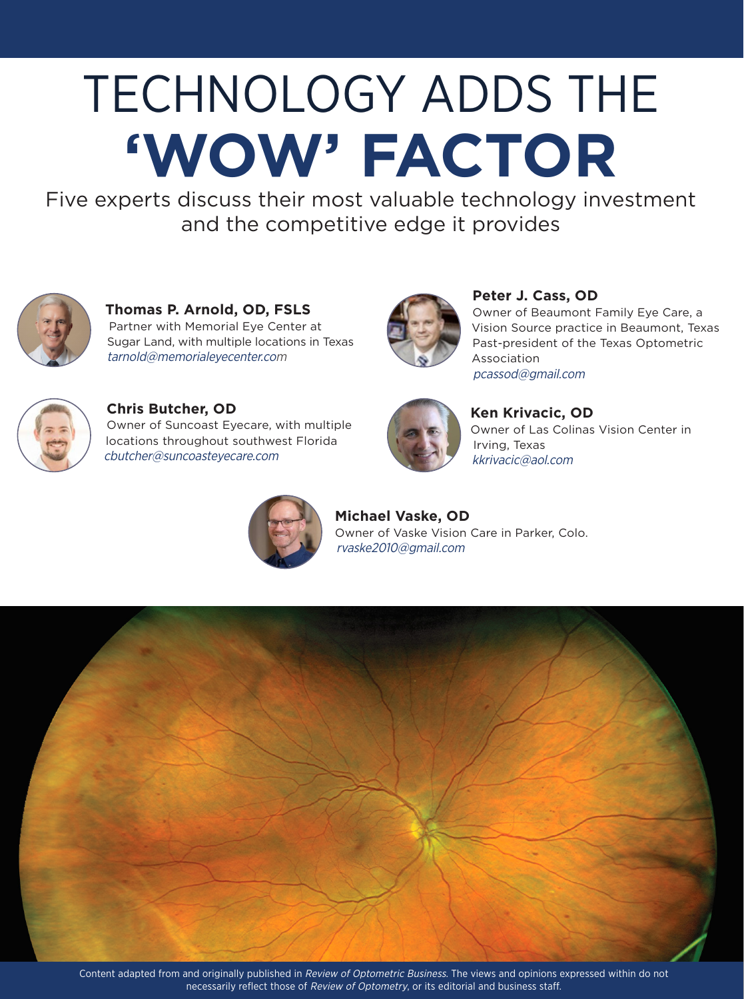# TECHNOLOGY ADDS THE **'WOW' FACTOR**

Five experts discuss their most valuable technology investment and the competitive edge it provides



**Thomas P. Arnold, OD, FSLS** Partner with Memorial Eye Center at Sugar Land, with multiple locations in Texas tarnold@memorialeyecenter.com



**Peter J. Cass, OD**

Owner of Beaumont Family Eye Care, a Vision Source practice in Beaumont, Texas Past-president of the Texas Optometric Association pcassod@gmail.com



**Chris Butcher, OD**

Owner of Suncoast Eyecare, with multiple locations throughout southwest Florida cbutcher@suncoasteyecare.com



**Ken Krivacic, OD** Owner of Las Colinas Vision Center in Irving, Texas kkrivacic@aol.com



**Michael Vaske, OD** Owner of Vaske Vision Care in Parker, Colo. rvaske2010@gmail.com

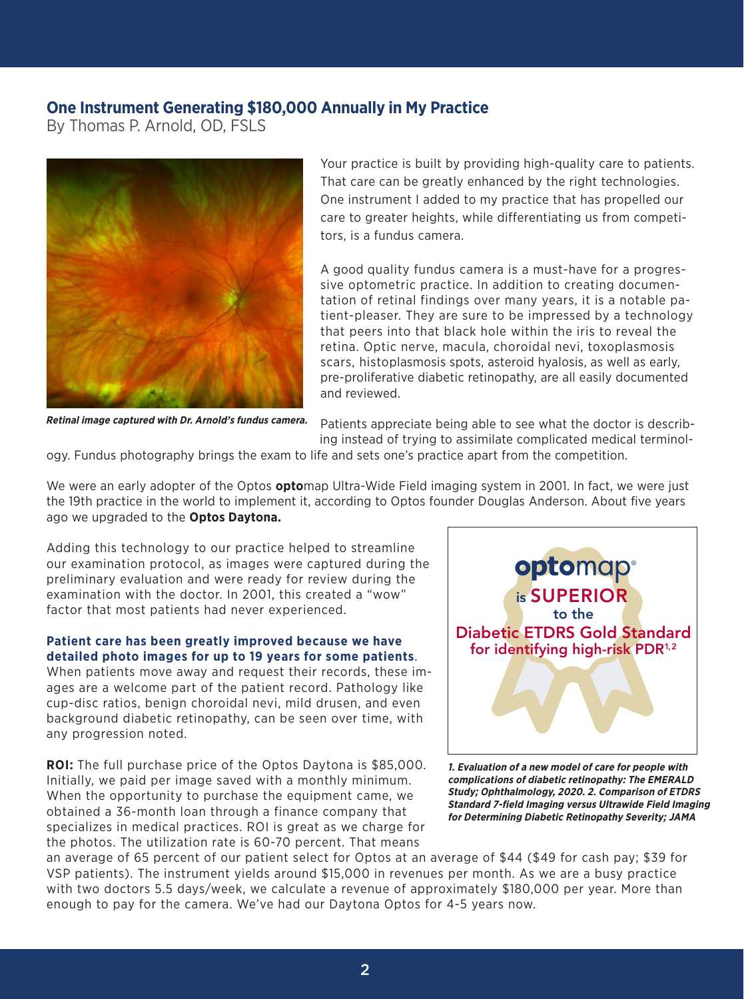## **One Instrument Generating \$180,000 Annually in My Practice**

By Thomas P. Arnold, OD, FSLS



Your practice is built by providing high-quality care to patients. That care can be greatly enhanced by the right technologies. One instrument I added to my practice that has propelled our care to greater heights, while differentiating us from competitors, is a fundus camera.

A good quality fundus camera is a must-have for a progressive optometric practice. In addition to creating documentation of retinal findings over many years, it is a notable patient-pleaser. They are sure to be impressed by a technology that peers into that black hole within the iris to reveal the retina. Optic nerve, macula, choroidal nevi, toxoplasmosis scars, histoplasmosis spots, asteroid hyalosis, as well as early, pre-proliferative diabetic retinopathy, are all easily documented and reviewed.

**Retinal image captured with Dr. Arnold's fundus camera.**

Patients appreciate being able to see what the doctor is describing instead of trying to assimilate complicated medical terminol-

ogy. Fundus photography brings the exam to life and sets one's practice apart from the competition.

We were an early adopter of the Optos **opto**map Ultra-Wide Field imaging system in 2001. In fact, we were just the 19th practice in the world to implement it, according to Optos founder Douglas Anderson. About five years ago we upgraded to the **Optos Daytona.**

Adding this technology to our practice helped to streamline our examination protocol, as images were captured during the preliminary evaluation and were ready for review during the examination with the doctor. In 2001, this created a "wow" factor that most patients had never experienced.

## **Patient care has been greatly improved because we have detailed photo images for up to 19 years for some patients**.

When patients move away and request their records, these images are a welcome part of the patient record. Pathology like cup-disc ratios, benign choroidal nevi, mild drusen, and even background diabetic retinopathy, can be seen over time, with any progression noted.

**ROI:** The full purchase price of the Optos Daytona is \$85,000. Initially, we paid per image saved with a monthly minimum. When the opportunity to purchase the equipment came, we obtained a 36-month loan through a finance company that specializes in medical practices. ROI is great as we charge for the photos. The utilization rate is 60-70 percent. That means



**1. Evaluation of a new model of care for people with complications of diabetic retinopathy: The EMERALD Study; Ophthalmology, 2020. 2. Comparison of ETDRS Standard 7-field Imaging versus Ultrawide Field Imaging for Determining Diabetic Retinopathy Severity; JAMA**

an average of 65 percent of our patient select for Optos at an average of \$44 (\$49 for cash pay; \$39 for VSP patients). The instrument yields around \$15,000 in revenues per month. As we are a busy practice with two doctors 5.5 days/week, we calculate a revenue of approximately \$180,000 per year. More than enough to pay for the camera. We've had our Daytona Optos for 4-5 years now.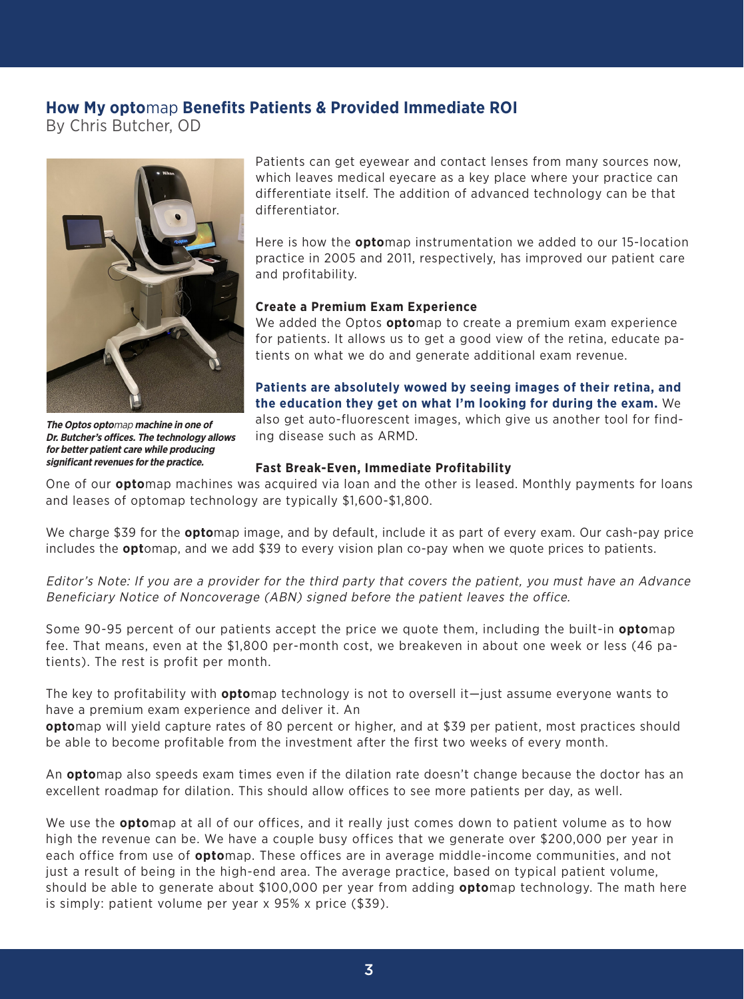# **How My opto**map **Benefits Patients & Provided Immediate ROI**

By Chris Butcher, OD



Patients can get eyewear and contact lenses from many sources now, which leaves medical eyecare as a key place where your practice can differentiate itself. The addition of advanced technology can be that differentiator.

Here is how the **opto**map instrumentation we added to our 15-location practice in 2005 and 2011, respectively, has improved our patient care and profitability.

## **Create a Premium Exam Experience**

We added the Optos **opto**map to create a premium exam experience for patients. It allows us to get a good view of the retina, educate patients on what we do and generate additional exam revenue.

**Patients are absolutely wowed by seeing images of their retina, and the education they get on what I'm looking for during the exam.** We also get auto-fluorescent images, which give us another tool for finding disease such as ARMD.

## **Fast Break-Even, Immediate Profitability**

One of our **opto**map machines was acquired via loan and the other is leased. Monthly payments for loans and leases of optomap technology are typically \$1,600-\$1,800.

We charge \$39 for the **opto**map image, and by default, include it as part of every exam. Our cash-pay price includes the **opt**omap, and we add \$39 to every vision plan co-pay when we quote prices to patients.

Editor's Note: If you are a provider for the third party that covers the patient, you must have an Advance Beneficiary Notice of Noncoverage (ABN) signed before the patient leaves the office.

Some 90-95 percent of our patients accept the price we quote them, including the built-in **opto**map fee. That means, even at the \$1,800 per-month cost, we breakeven in about one week or less (46 patients). The rest is profit per month.

The key to profitability with **opto**map technology is not to oversell it—just assume everyone wants to have a premium exam experience and deliver it. An

**opto**map will yield capture rates of 80 percent or higher, and at \$39 per patient, most practices should be able to become profitable from the investment after the first two weeks of every month.

An **opto**map also speeds exam times even if the dilation rate doesn't change because the doctor has an excellent roadmap for dilation. This should allow offices to see more patients per day, as well.

We use the **opto**map at all of our offices, and it really just comes down to patient volume as to how high the revenue can be. We have a couple busy offices that we generate over \$200,000 per year in each office from use of **opto**map. These offices are in average middle-income communities, and not just a result of being in the high-end area. The average practice, based on typical patient volume, should be able to generate about \$100,000 per year from adding **opto**map technology. The math here is simply: patient volume per year x 95% x price (\$39).

**The Optos opto**map **machine in one of Dr. Butcher's offices. The technology allows for better patient care while producing** 

**significant revenues for the practice.**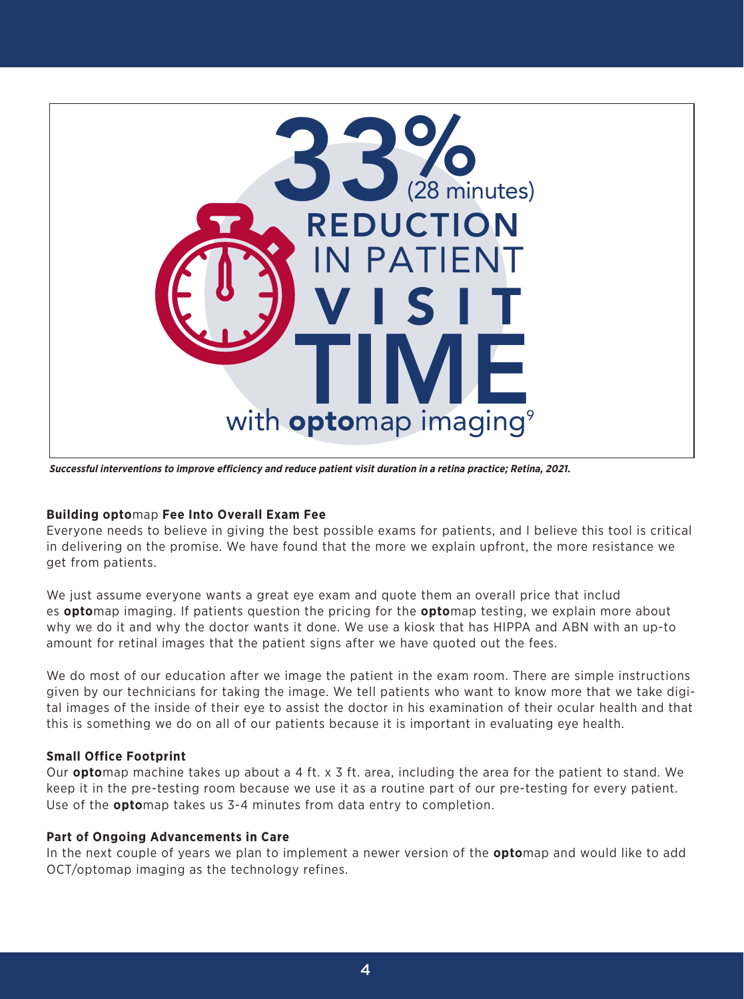

**Successful interventions to improve efficiency and reduce patient visit duration in a retina practice; Retina, 2021.** 

## **Building opto**map **Fee Into Overall Exam Fee**

Everyone needs to believe in giving the best possible exams for patients, and I believe this tool is critical in delivering on the promise. We have found that the more we explain upfront, the more resistance we get from patients.

We just assume everyone wants a great eye exam and quote them an overall price that includ es **opto**map imaging. If patients question the pricing for the **opto**map testing, we explain more about why we do it and why the doctor wants it done. We use a kiosk that has HIPPA and ABN with an up-to amount for retinal images that the patient signs after we have quoted out the fees.

We do most of our education after we image the patient in the exam room. There are simple instructions given by our technicians for taking the image. We tell patients who want to know more that we take digital images of the inside of their eye to assist the doctor in his examination of their ocular health and that this is something we do on all of our patients because it is important in evaluating eye health.

## **Small Office Footprint**

Our **opto**map machine takes up about a 4 ft. x 3 ft. area, including the area for the patient to stand. We keep it in the pre-testing room because we use it as a routine part of our pre-testing for every patient. Use of the **opto**map takes us 3-4 minutes from data entry to completion.

#### **Part of Ongoing Advancements in Care**

In the next couple of years we plan to implement a newer version of the **opto**map and would like to add OCT/optomap imaging as the technology refines.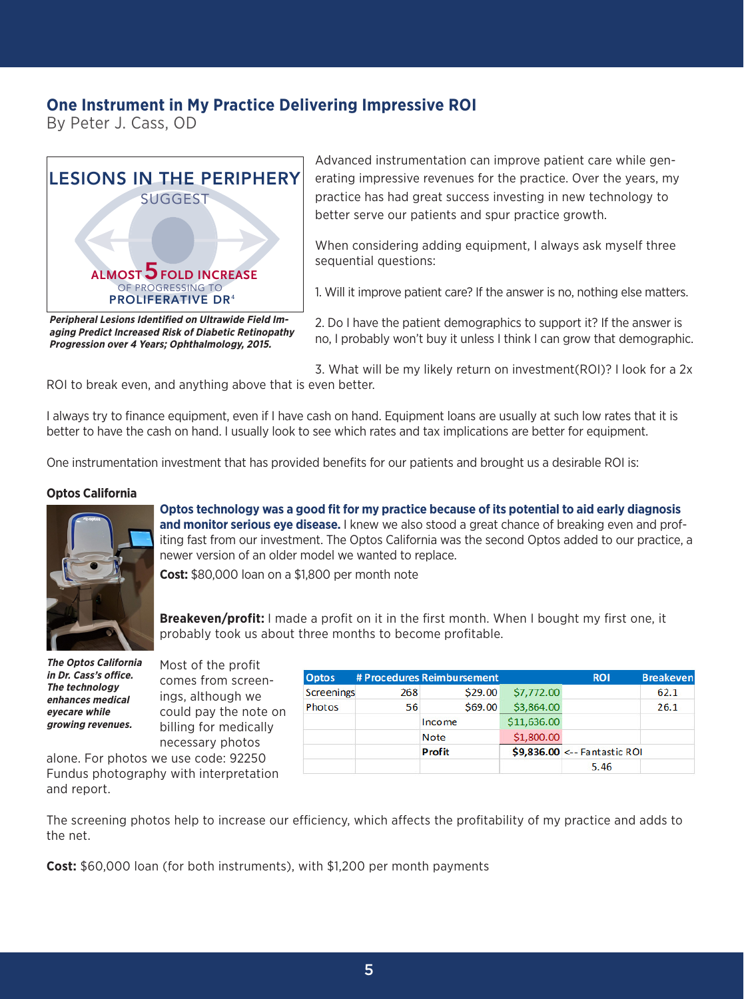## **One Instrument in My Practice Delivering Impressive ROI**

By Peter J. Cass, OD



**Peripheral Lesions Identified on Ultrawide Field Imaging Predict Increased Risk of Diabetic Retinopathy Progression over 4 Years; Ophthalmology, 2015.** 

Advanced instrumentation can improve patient care while generating impressive revenues for the practice. Over the years, my practice has had great success investing in new technology to better serve our patients and spur practice growth.

When considering adding equipment, I always ask myself three sequential questions:

1. Will it improve patient care? If the answer is no, nothing else matters.

2. Do I have the patient demographics to support it? If the answer is no, I probably won't buy it unless I think I can grow that demographic.

3. What will be my likely return on investment(ROI)? I look for a 2x ROI to break even, and anything above that is even better.

I always try to finance equipment, even if I have cash on hand. Equipment loans are usually at such low rates that it is better to have the cash on hand. I usually look to see which rates and tax implications are better for equipment.

One instrumentation investment that has provided benefits for our patients and brought us a desirable ROI is:

#### **Optos California**



**Optos technology was a good fit for my practice because of its potential to aid early diagnosis and monitor serious eye disease.** I knew we also stood a great chance of breaking even and profiting fast from our investment. The Optos California was the second Optos added to our practice, a newer version of an older model we wanted to replace.

**Cost:** \$80,000 loan on a \$1,800 per month note

**Breakeven/profit:** I made a profit on it in the first month. When I bought my first one, it probably took us about three months to become profitable.

**The Optos California in Dr. Cass's office. The technology enhances medical eyecare while growing revenues.**

Most of the profit comes from screenings, although we could pay the note on billing for medically necessary photos

alone. For photos we use code: 92250 Fundus photography with interpretation and report.

| <b>Optos</b> |     | # Procedures Reimbursement |             | <b>ROI</b>                   | <b>Breakeven</b> |
|--------------|-----|----------------------------|-------------|------------------------------|------------------|
| Screenings   | 268 | \$29.00                    | \$7,772.00  |                              | 62.1             |
| Photos       | 56  | \$69.00                    | \$3,864.00  |                              | 26.1             |
|              |     | Income                     | \$11,636.00 |                              |                  |
|              |     | <b>Note</b>                | \$1,800.00  |                              |                  |
|              |     | <b>Profit</b>              |             | \$9,836.00 <-- Fantastic ROI |                  |
|              |     |                            |             | 5.46                         |                  |

The screening photos help to increase our efficiency, which affects the profitability of my practice and adds to the net.

**Cost:** \$60,000 loan (for both instruments), with \$1,200 per month payments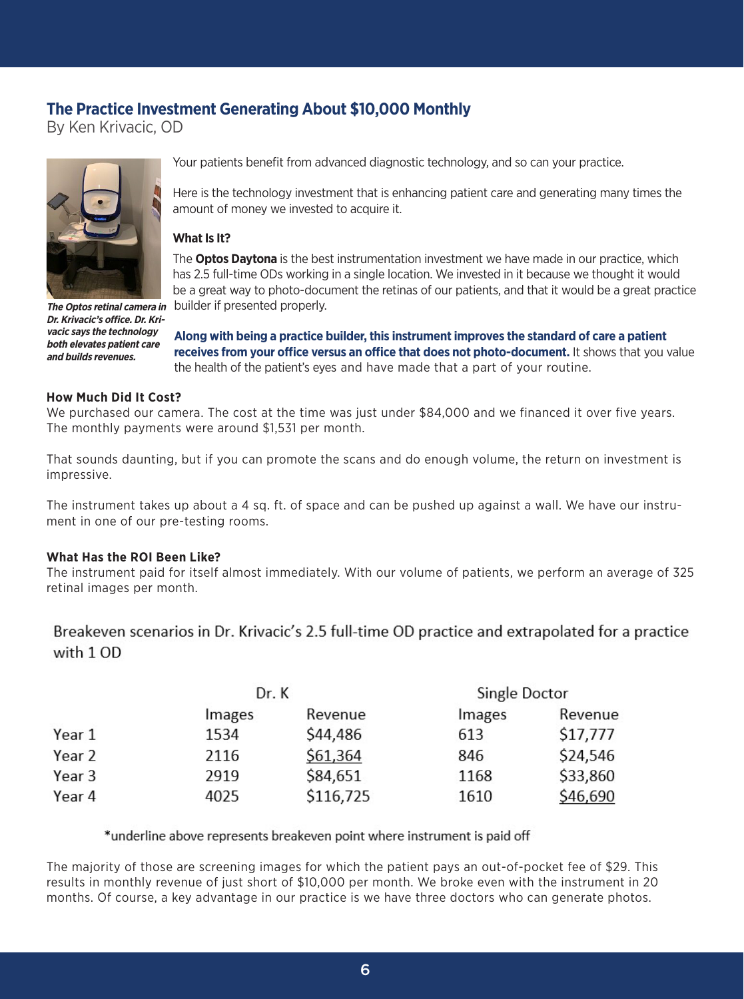# **The Practice Investment Generating About \$10,000 Monthly**

By Ken Krivacic, OD



**Dr. Krivacic's office. Dr. Krivacic says the technology both elevates patient care and builds revenues.**

Your patients benefit from advanced diagnostic technology, and so can your practice.

Here is the technology investment that is enhancing patient care and generating many times the amount of money we invested to acquire it.

## **What Is It?**

The **Optos Daytona** is the best instrumentation investment we have made in our practice, which has 2.5 full-time ODs working in a single location. We invested in it because we thought it would be a great way to photo-document the retinas of our patients, and that it would be a great practice The Optos retinal camera in builder if presented properly.

> **Along with being a practice builder, this instrument improves the standard of care a patient receives from your office versus an office that does not photo-document.** It shows that you value the health of the patient's eyes and have made that a part of your routine.

## **How Much Did It Cost?**

We purchased our camera. The cost at the time was just under \$84,000 and we financed it over five years. The monthly payments were around \$1,531 per month.

That sounds daunting, but if you can promote the scans and do enough volume, the return on investment is impressive.

The instrument takes up about a 4 sq. ft. of space and can be pushed up against a wall. We have our instrument in one of our pre-testing rooms.

## **What Has the ROI Been Like?**

The instrument paid for itself almost immediately. With our volume of patients, we perform an average of 325 retinal images per month.

Breakeven scenarios in Dr. Krivacic's 2.5 full-time OD practice and extrapolated for a practice with 1 OD

|        | Dr. K         |           | Single Doctor |          |
|--------|---------------|-----------|---------------|----------|
|        | <i>Images</i> | Revenue   | Images        | Revenue  |
| Year 1 | 1534          | \$44,486  | 613           | \$17,777 |
| Year 2 | 2116          | \$61,364  | 846           | \$24,546 |
| Year 3 | 2919          | \$84,651  | 1168          | \$33,860 |
| Year 4 | 4025          | \$116,725 | 1610          | \$46,690 |

## \*underline above represents breakeven point where instrument is paid off

The majority of those are screening images for which the patient pays an out-of-pocket fee of \$29. This results in monthly revenue of just short of \$10,000 per month. We broke even with the instrument in 20 months. Of course, a key advantage in our practice is we have three doctors who can generate photos.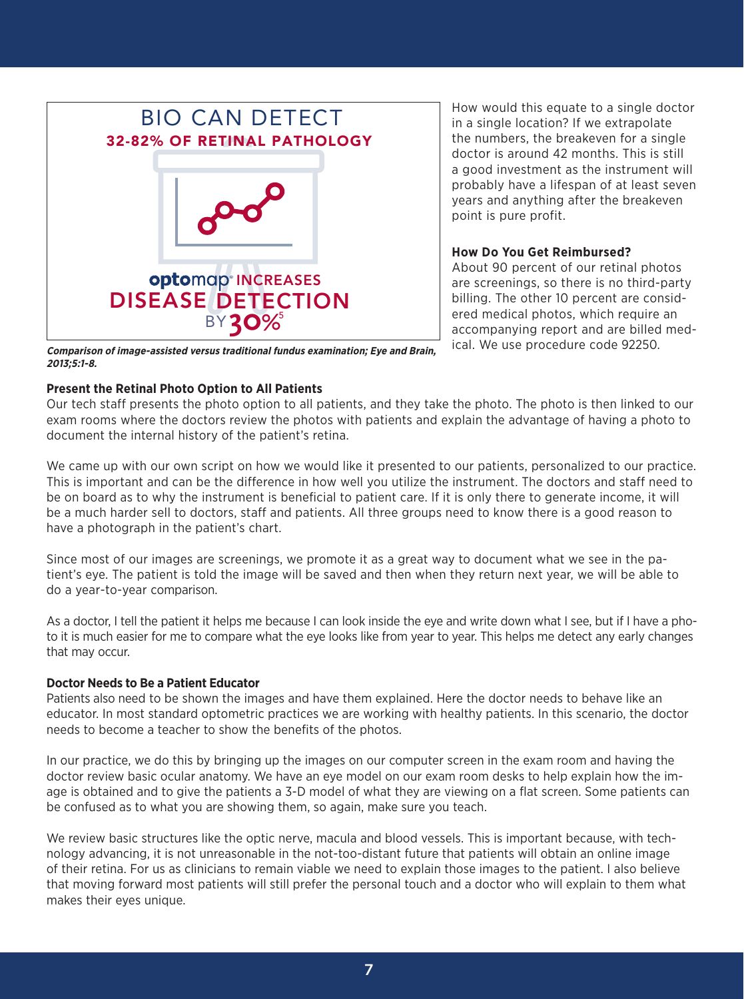

How would this equate to a single doctor in a single location? If we extrapolate the numbers, the breakeven for a single doctor is around 42 months. This is still a good investment as the instrument will probably have a lifespan of at least seven years and anything after the breakeven point is pure profit.

#### **How Do You Get Reimbursed?**

About 90 percent of our retinal photos are screenings, so there is no third-party billing. The other 10 percent are considered medical photos, which require an accompanying report and are billed medical. We use procedure code 92250.

**Comparison of image-assisted versus traditional fundus examination; Eye and Brain, 2013;5:1-8.**

## **Present the Retinal Photo Option to All Patients**

Our tech staff presents the photo option to all patients, and they take the photo. The photo is then linked to our exam rooms where the doctors review the photos with patients and explain the advantage of having a photo to document the internal history of the patient's retina.

We came up with our own script on how we would like it presented to our patients, personalized to our practice. This is important and can be the difference in how well you utilize the instrument. The doctors and staff need to be on board as to why the instrument is beneficial to patient care. If it is only there to generate income, it will be a much harder sell to doctors, staff and patients. All three groups need to know there is a good reason to have a photograph in the patient's chart.

Since most of our images are screenings, we promote it as a great way to document what we see in the patient's eye. The patient is told the image will be saved and then when they return next year, we will be able to do a year-to-year comparison.

As a doctor, I tell the patient it helps me because I can look inside the eye and write down what I see, but if I have a photo it is much easier for me to compare what the eye looks like from year to year. This helps me detect any early changes that may occur.

## **Doctor Needs to Be a Patient Educator**

Patients also need to be shown the images and have them explained. Here the doctor needs to behave like an educator. In most standard optometric practices we are working with healthy patients. In this scenario, the doctor needs to become a teacher to show the benefits of the photos.

In our practice, we do this by bringing up the images on our computer screen in the exam room and having the doctor review basic ocular anatomy. We have an eye model on our exam room desks to help explain how the image is obtained and to give the patients a 3-D model of what they are viewing on a flat screen. Some patients can be confused as to what you are showing them, so again, make sure you teach.

We review basic structures like the optic nerve, macula and blood vessels. This is important because, with technology advancing, it is not unreasonable in the not-too-distant future that patients will obtain an online image of their retina. For us as clinicians to remain viable we need to explain those images to the patient. I also believe that moving forward most patients will still prefer the personal touch and a doctor who will explain to them what makes their eyes unique.